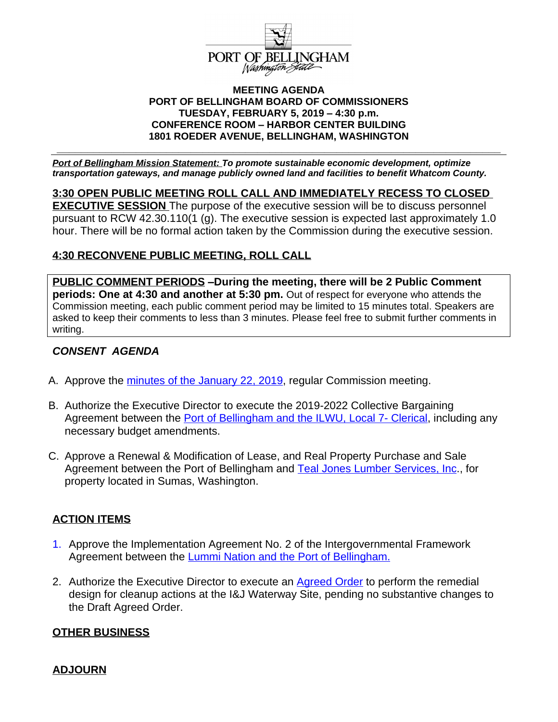

#### **MEETING AGENDA PORT OF BELLINGHAM BOARD OF COMMISSIONERS TUESDAY, FEBRUARY 5, 2019 – 4:30 p.m. CONFERENCE ROOM – HARBOR CENTER BUILDING 1801 ROEDER AVENUE, BELLINGHAM, WASHINGTON**

**\_\_\_\_\_\_\_\_\_\_\_\_\_\_\_\_\_\_\_\_\_\_\_\_\_\_\_\_\_\_\_\_\_\_\_\_\_\_\_\_\_\_\_\_\_\_\_\_\_\_\_\_\_\_\_\_\_\_\_\_\_\_\_\_\_\_\_\_\_\_\_\_\_**

*Port of Bellingham Mission Statement: To promote sustainable economic development, optimize transportation gateways, and manage publicly owned land and facilities to benefit Whatcom County.*

**3:30 OPEN PUBLIC MEETING ROLL CALL AND IMMEDIATELY RECESS TO CLOSED EXECUTIVE SESSION** The purpose of the executive session will be to discuss personnel pursuant to RCW 42.30.110(1 (g). The executive session is expected last approximately 1.0 hour. There will be no formal action taken by the Commission during the executive session.

#### **4:30 RECONVENE PUBLIC MEETING, ROLL CALL**

**PUBLIC COMMENT PERIODS –During the meeting, there will be 2 Public Comment periods: One at 4:30 and another at 5:30 pm.** Out of respect for everyone who attends the Commission meeting, each public comment period may be limited to 15 minutes total. Speakers are asked to keep their comments to less than 3 minutes. Please feel free to submit further comments in writing.

# *CONSENT AGENDA*

- A. Approve the [minutes of the January 22, 2019, regular Commission meeting.](https://www.portofbellingham.com/DocumentCenter/View/8321/CA-Item-A)
- B. [Authorize the Executive Director to execute the 2019-2022 Collective Bargaining](https://www.portofbellingham.com/DocumentCenter/View/8321/CA-Item-A)  [Agreement between the](https://www.portofbellingham.com/DocumentCenter/View/8321/CA-Item-A) [Port of Bellingham and the ILWU, Local 7- Clerical](https://www.portofbellingham.com/DocumentCenter/View/8322/CA-Item-B), including any necessary budget amendments.
- C. Approve a Renewal & Modification of Lease, and Real Property Purchase and Sale Agreement between the Port of Bellingham and Teal Jones Lumber Services, Inc., for [property located in Sumas, Washington.](https://www.portofbellingham.com/DocumentCenter/View/8323/CA-Item-C)

# **[ACTION ITEMS](https://www.portofbellingham.com/DocumentCenter/View/8323/CA-Item-C)**

- 1. [Approve the Implementation Agreement No. 2 of the Intergovernmental Framework](https://www.portofbellingham.com/DocumentCenter/View/8323/CA-Item-C)  [Agreement between the](https://www.portofbellingham.com/DocumentCenter/View/8323/CA-Item-C) **[Lummi Nation and the Port of Bellingham.](https://www.portofbellingham.com/DocumentCenter/View/8319/AI-Item-1)**
- 2. [Authorize the Executive Director to execute an](https://www.portofbellingham.com/DocumentCenter/View/8319/AI-Item-1) **[Agreed Order](https://www.portofbellingham.com/DocumentCenter/View/8320/AI-Item-No-2)** to perform the remedial design for cleanup actions at the I&J Waterway Site, pending no substantive changes to the Draft Agreed Order.

# **OTHER BUSINESS**

# **ADJOURN**